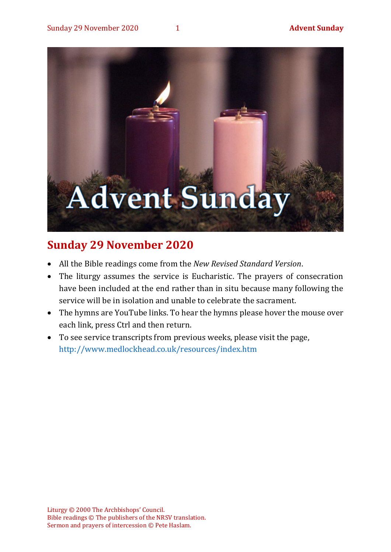

# **Sunday 29 November 2020**

- All the Bible readings come from the *New Revised Standard Version*.
- The liturgy assumes the service is Eucharistic. The prayers of consecration have been included at the end rather than in situ because many following the service will be in isolation and unable to celebrate the sacrament.
- The hymns are YouTube links. To hear the hymns please hover the mouse over each link, press Ctrl and then return.
- To see service transcripts from previous weeks, please visit the page, <http://www.medlockhead.co.uk/resources/index.htm>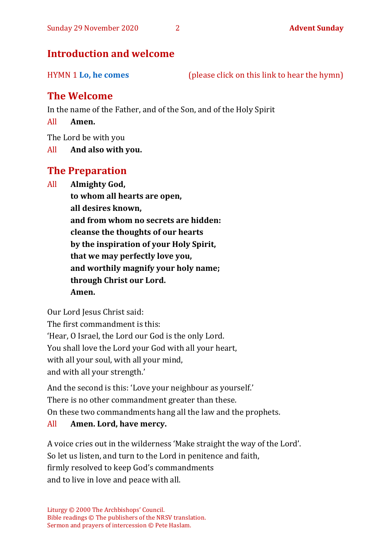# **Introduction and welcome**

HYMN 1 **[Lo, he comes](https://www.youtube.com/watch?v=p1Rn-9j2NQw)** (please click on this link to hear the hymn)

# **The Welcome**

In the name of the Father, and of the Son, and of the Holy Spirit

All **Amen.**

The Lord be with you

All **And also with you.**

# **The Preparation**

All **Almighty God,**

**to whom all hearts are open, all desires known, and from whom no secrets are hidden: cleanse the thoughts of our hearts by the inspiration of your Holy Spirit, that we may perfectly love you, and worthily magnify your holy name; through Christ our Lord. Amen.**

Our Lord Jesus Christ said:

The first commandment is this: 'Hear, O Israel, the Lord our God is the only Lord. You shall love the Lord your God with all your heart,

with all your soul, with all your mind,

and with all your strength.'

And the second is this: 'Love your neighbour as yourself.' There is no other commandment greater than these. On these two commandments hang all the law and the prophets.

#### All **Amen. Lord, have mercy.**

A voice cries out in the wilderness 'Make straight the way of the Lord'. So let us listen, and turn to the Lord in penitence and faith, firmly resolved to keep God's commandments and to live in love and peace with all.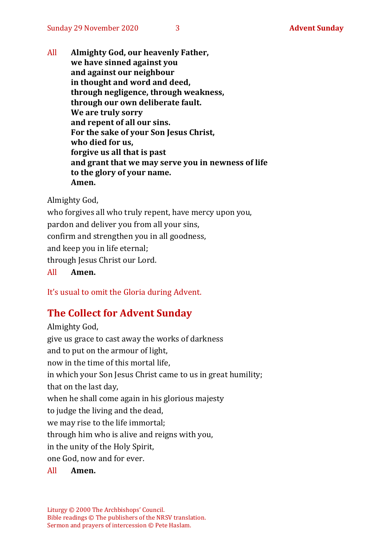All **Almighty God, our heavenly Father, we have sinned against you and against our neighbour in thought and word and deed, through negligence, through weakness, through our own deliberate fault. We are truly sorry and repent of all our sins. For the sake of your Son Jesus Christ, who died for us, forgive us all that is past and grant that we may serve you in newness of life to the glory of your name. Amen.**

Almighty God,

who forgives all who truly repent, have mercy upon you, pardon and deliver you from all your sins, confirm and strengthen you in all goodness, and keep you in life eternal; through Jesus Christ our Lord.

All **Amen.**

It's usual to omit the Gloria during Advent.

# **The Collect for Advent Sunday**

Almighty God, give us grace to cast away the works of darkness and to put on the armour of light, now in the time of this mortal life, in which your Son Jesus Christ came to us in great humility; that on the last day, when he shall come again in his glorious majesty to judge the living and the dead, we may rise to the life immortal; through him who is alive and reigns with you, in the unity of the Holy Spirit, one God, now and for ever.

All **Amen.**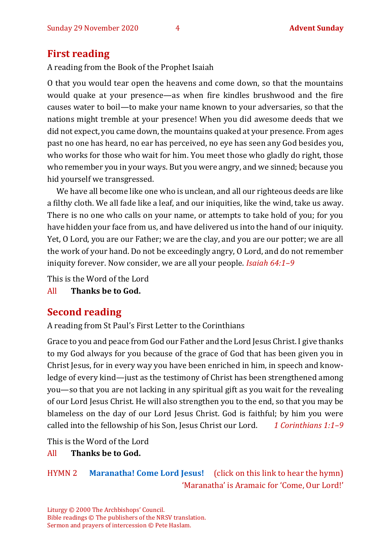#### **First reading**

A reading from the Book of the Prophet Isaiah

O that you would tear open the heavens and come down, so that the mountains would quake at your presence—as when fire kindles brushwood and the fire causes water to boil—to make your name known to your adversaries, so that the nations might tremble at your presence! When you did awesome deeds that we did not expect, you came down, the mountains quaked at your presence. From ages past no one has heard, no ear has perceived, no eye has seen any God besides you, who works for those who wait for him. You meet those who gladly do right, those who remember you in your ways. But you were angry, and we sinned; because you hid yourself we transgressed.

We have all become like one who is unclean, and all our righteous deeds are like a filthy cloth. We all fade like a leaf, and our iniquities, like the wind, take us away. There is no one who calls on your name, or attempts to take hold of you; for you have hidden your face from us, and have delivered us into the hand of our iniquity. Yet, O Lord, you are our Father; we are the clay, and you are our potter; we are all the work of your hand. Do not be exceedingly angry, O Lord, and do not remember iniquity forever. Now consider, we are all your people. *Isaiah 64:1–9*

This is the Word of the Lord

All **Thanks be to God.**

#### **Second reading**

A reading from St Paul's First Letter to the Corinthians

Grace to you and peace from God our Father and the Lord Jesus Christ. I give thanks to my God always for you because of the grace of God that has been given you in Christ Jesus, for in every way you have been enriched in him, in speech and knowledge of every kind—just as the testimony of Christ has been strengthened among you—so that you are not lacking in any spiritual gift as you wait for the revealing of our Lord Jesus Christ. He will also strengthen you to the end, so that you may be blameless on the day of our Lord Jesus Christ. God is faithful; by him you were called into the fellowship of his Son, Jesus Christ our Lord. *1 Corinthians 1:1–9*

This is the Word of the Lord

#### All **Thanks be to God.**

HYMN 2 **[Maranatha! Come Lord Jesus!](https://www.youtube.com/watch?v=hGx5-Ht4n18)** (click on this link to hear the hymn) 'Maranatha' is Aramaic for 'Come, Our Lord!'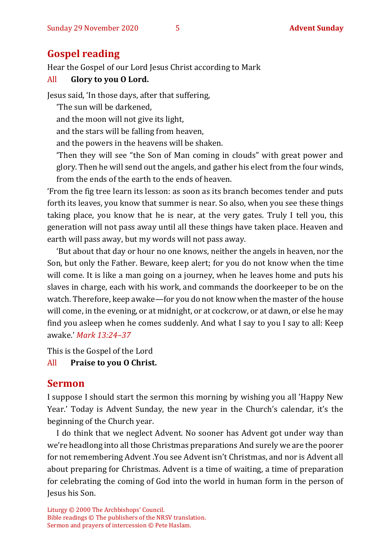### **Gospel reading**

Hear the Gospel of our Lord Jesus Christ according to Mark

#### All **Glory to you O Lord.**

Jesus said, 'In those days, after that suffering,

'The sun will be darkened,

and the moon will not give its light,

and the stars will be falling from heaven,

and the powers in the heavens will be shaken.

'Then they will see "the Son of Man coming in clouds" with great power and glory. Then he will send out the angels, and gather his elect from the four winds, from the ends of the earth to the ends of heaven.

'From the fig tree learn its lesson: as soon as its branch becomes tender and puts forth its leaves, you know that summer is near. So also, when you see these things taking place, you know that he is near, at the very gates. Truly I tell you, this generation will not pass away until all these things have taken place. Heaven and earth will pass away, but my words will not pass away.

'But about that day or hour no one knows, neither the angels in heaven, nor the Son, but only the Father. Beware, keep alert; for you do not know when the time will come. It is like a man going on a journey, when he leaves home and puts his slaves in charge, each with his work, and commands the doorkeeper to be on the watch. Therefore, keep awake—for you do not know when the master of the house will come, in the evening, or at midnight, or at cockcrow, or at dawn, or else he may find you asleep when he comes suddenly. And what I say to you I say to all: Keep awake.' *Mark 13:24–37*

This is the Gospel of the Lord

#### All **Praise to you O Christ.**

#### **Sermon**

I suppose I should start the sermon this morning by wishing you all 'Happy New Year.' Today is Advent Sunday, the new year in the Church's calendar, it's the beginning of the Church year.

I do think that we neglect Advent. No sooner has Advent got under way than we're headlong into all those Christmas preparations And surely we are the poorer for not remembering Advent .You see Advent isn't Christmas, and nor is Advent all about preparing for Christmas. Advent is a time of waiting, a time of preparation for celebrating the coming of God into the world in human form in the person of Jesus his Son.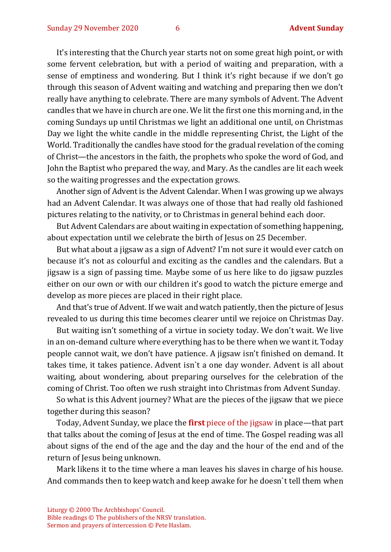It's interesting that the Church year starts not on some great high point, or with some fervent celebration, but with a period of waiting and preparation, with a sense of emptiness and wondering. But I think it's right because if we don't go through this season of Advent waiting and watching and preparing then we don't really have anything to celebrate. There are many symbols of Advent. The Advent candles that we have in church are one. We lit the first one this morning and, in the coming Sundays up until Christmas we light an additional one until, on Christmas Day we light the white candle in the middle representing Christ, the Light of the World. Traditionally the candles have stood for the gradual revelation of the coming of Christ—the ancestors in the faith, the prophets who spoke the word of God, and John the Baptist who prepared the way, and Mary. As the candles are lit each week so the waiting progresses and the expectation grows.

Another sign of Advent is the Advent Calendar. When I was growing up we always had an Advent Calendar. It was always one of those that had really old fashioned pictures relating to the nativity, or to Christmas in general behind each door.

But Advent Calendars are about waiting in expectation of something happening, about expectation until we celebrate the birth of Jesus on 25 December.

But what about a jigsaw as a sign of Advent? I'm not sure it would ever catch on because it's not as colourful and exciting as the candles and the calendars. But a jigsaw is a sign of passing time. Maybe some of us here like to do jigsaw puzzles either on our own or with our children it's good to watch the picture emerge and develop as more pieces are placed in their right place.

And that's true of Advent. If we wait and watch patiently, then the picture of Jesus revealed to us during this time becomes clearer until we rejoice on Christmas Day.

But waiting isn't something of a virtue in society today. We don't wait. We live in an on-demand culture where everything has to be there when we want it. Today people cannot wait, we don't have patience. A jigsaw isn't finished on demand. It takes time, it takes patience. Advent isn`t a one day wonder. Advent is all about waiting, about wondering, about preparing ourselves for the celebration of the coming of Christ. Too often we rush straight into Christmas from Advent Sunday.

So what is this Advent journey? What are the pieces of the jigsaw that we piece together during this season?

Today, Advent Sunday, we place the **first** piece of the jigsaw in place—that part that talks about the coming of Jesus at the end of time. The Gospel reading was all about signs of the end of the age and the day and the hour of the end and of the return of Jesus being unknown.

Mark likens it to the time where a man leaves his slaves in charge of his house. And commands then to keep watch and keep awake for he doesn`t tell them when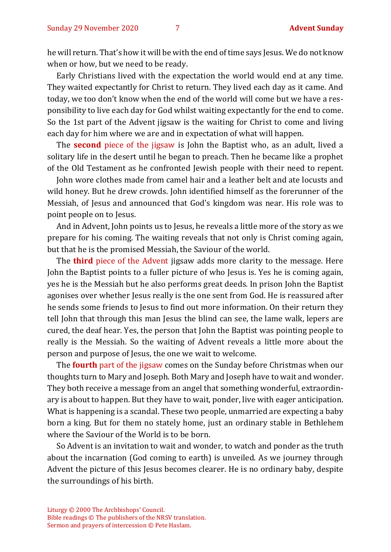he will return. That's how it will be with the end of time says Jesus. We do not know when or how, but we need to be ready.

Early Christians lived with the expectation the world would end at any time. They waited expectantly for Christ to return. They lived each day as it came. And today, we too don't know when the end of the world will come but we have a responsibility to live each day for God whilst waiting expectantly for the end to come. So the 1st part of the Advent jigsaw is the waiting for Christ to come and living each day for him where we are and in expectation of what will happen.

The **second** piece of the jigsaw is John the Baptist who, as an adult, lived a solitary life in the desert until he began to preach. Then he became like a prophet of the Old Testament as he confronted Jewish people with their need to repent.

John wore clothes made from camel hair and a leather belt and ate locusts and wild honey. But he drew crowds. John identified himself as the forerunner of the Messiah, of Jesus and announced that God's kingdom was near. His role was to point people on to Jesus.

And in Advent, John points us to Jesus, he reveals a little more of the story as we prepare for his coming. The waiting reveals that not only is Christ coming again, but that he is the promised Messiah, the Saviour of the world.

The **third** piece of the Advent jigsaw adds more clarity to the message. Here John the Baptist points to a fuller picture of who Jesus is. Yes he is coming again, yes he is the Messiah but he also performs great deeds. In prison John the Baptist agonises over whether Jesus really is the one sent from God. He is reassured after he sends some friends to Jesus to find out more information. On their return they tell John that through this man Jesus the blind can see, the lame walk, lepers are cured, the deaf hear. Yes, the person that John the Baptist was pointing people to really is the Messiah. So the waiting of Advent reveals a little more about the person and purpose of Jesus, the one we wait to welcome.

The **fourth** part of the jigsaw comes on the Sunday before Christmas when our thoughts turn to Mary and Joseph. Both Mary and Joseph have to wait and wonder. They both receive a message from an angel that something wonderful, extraordinary is about to happen. But they have to wait, ponder, live with eager anticipation. What is happening is a scandal. These two people, unmarried are expecting a baby born a king. But for them no stately home, just an ordinary stable in Bethlehem where the Saviour of the World is to be born.

So Advent is an invitation to wait and wonder, to watch and ponder as the truth about the incarnation (God coming to earth) is unveiled. As we journey through Advent the picture of this Jesus becomes clearer. He is no ordinary baby, despite the surroundings of his birth.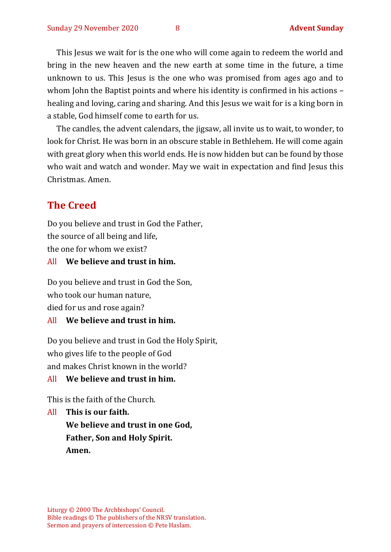This Jesus we wait for is the one who will come again to redeem the world and bring in the new heaven and the new earth at some time in the future, a time unknown to us. This Jesus is the one who was promised from ages ago and to whom John the Baptist points and where his identity is confirmed in his actions – healing and loving, caring and sharing. And this Jesus we wait for is a king born in a stable, God himself come to earth for us.

The candles, the advent calendars, the jigsaw, all invite us to wait, to wonder, to look for Christ. He was born in an obscure stable in Bethlehem. He will come again with great glory when this world ends. He is now hidden but can be found by those who wait and watch and wonder. May we wait in expectation and find Jesus this Christmas. Amen.

# **The Creed**

Do you believe and trust in God the Father, the source of all being and life, the one for whom we exist?

#### All **We believe and trust in him.**

Do you believe and trust in God the Son, who took our human nature, died for us and rose again?

#### All **We believe and trust in him.**

Do you believe and trust in God the Holy Spirit, who gives life to the people of God and makes Christ known in the world?

#### All **We believe and trust in him.**

This is the faith of the Church.

All **This is our faith. We believe and trust in one God, Father, Son and Holy Spirit. Amen.**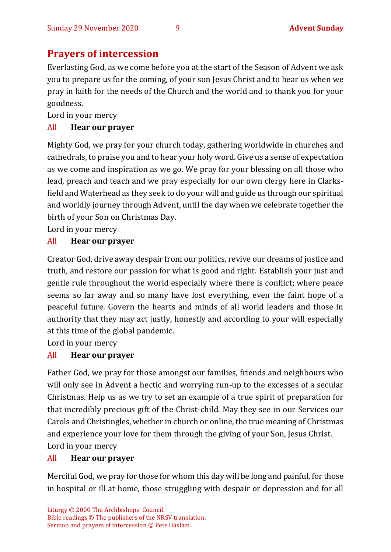# **Prayers of intercession**

Everlasting God, as we come before you at the start of the Season of Advent we ask you to prepare us for the coming, of your son Jesus Christ and to hear us when we pray in faith for the needs of the Church and the world and to thank you for your goodness.

Lord in your mercy

#### All **Hear our prayer**

Mighty God, we pray for your church today, gathering worldwide in churches and cathedrals, to praise you and to hear your holy word. Give us a sense of expectation as we come and inspiration as we go. We pray for your blessing on all those who lead, preach and teach and we pray especially for our own clergy here in Clarksfield and Waterhead as they seek to do your will and guide us through our spiritual and worldly journey through Advent, until the day when we celebrate together the birth of your Son on Christmas Day.

Lord in your mercy

#### All **Hear our prayer**

Creator God, drive away despair from our politics, revive our dreams of justice and truth, and restore our passion for what is good and right. Establish your just and gentle rule throughout the world especially where there is conflict; where peace seems so far away and so many have lost everything, even the faint hope of a peaceful future. Govern the hearts and minds of all world leaders and those in authority that they may act justly, honestly and according to your will especially at this time of the global pandemic.

Lord in your mercy

#### All **Hear our prayer**

Father God, we pray for those amongst our families, friends and neighbours who will only see in Advent a hectic and worrying run-up to the excesses of a secular Christmas. Help us as we try to set an example of a true spirit of preparation for that incredibly precious gift of the Christ-child. May they see in our Services our Carols and Christingles, whether in church or online, the true meaning of Christmas and experience your love for them through the giving of your Son, Jesus Christ. Lord in your mercy

#### All **Hear our prayer**

Merciful God, we pray for those for whom this day will be long and painful, for those in hospital or ill at home, those struggling with despair or depression and for all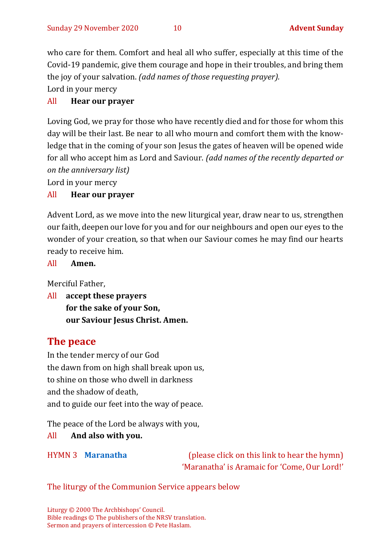who care for them. Comfort and heal all who suffer, especially at this time of the Covid-19 pandemic, give them courage and hope in their troubles, and bring them the joy of your salvation. *(add names of those requesting prayer).*

Lord in your mercy

#### All **Hear our prayer**

Loving God, we pray for those who have recently died and for those for whom this day will be their last. Be near to all who mourn and comfort them with the knowledge that in the coming of your son Jesus the gates of heaven will be opened wide for all who accept him as Lord and Saviour. *(add names of the recently departed or on the anniversary list)*

Lord in your mercy

#### All **Hear our prayer**

Advent Lord, as we move into the new liturgical year, draw near to us, strengthen our faith, deepen our love for you and for our neighbours and open our eyes to the wonder of your creation, so that when our Saviour comes he may find our hearts ready to receive him.

All **Amen.**

Merciful Father,

All **accept these prayers for the sake of your Son, our Saviour Jesus Christ. Amen.**

#### **The peace**

In the tender mercy of our God the dawn from on high shall break upon us, to shine on those who dwell in darkness and the shadow of death, and to guide our feet into the way of peace.

The peace of the Lord be always with you,

#### All **And also with you.**

HYMN 3 **[Maranatha](https://www.youtube.com/watch?v=6x_fU3LxPsk)** (please click on this link to hear the hymn) 'Maranatha' is Aramaic for 'Come, Our Lord!'

The liturgy of the Communion Service appears below

Liturgy © 2000 The Archbishops' Council. Bible readings © The publishers of the NRSV translation. Sermon and prayers of intercession © Pete Haslam.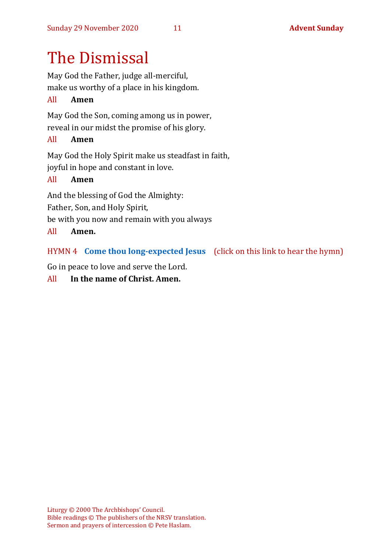# The Dismissal

May God the Father, judge all-merciful, make us worthy of a place in his kingdom.

#### All **Amen**

May God the Son, coming among us in power, reveal in our midst the promise of his glory.

#### All **Amen**

May God the Holy Spirit make us steadfast in faith, joyful in hope and constant in love.

#### All **Amen**

And the blessing of God the Almighty: Father, Son, and Holy Spirit, be with you now and remain with you always

#### All **Amen.**

# HYMN 4 **[Come thou long-expected Jesus](https://www.youtube.com/watch?v=GspGM7Pfizo)** (click on this link to hear the hymn)

Go in peace to love and serve the Lord.

#### All **In the name of Christ. Amen.**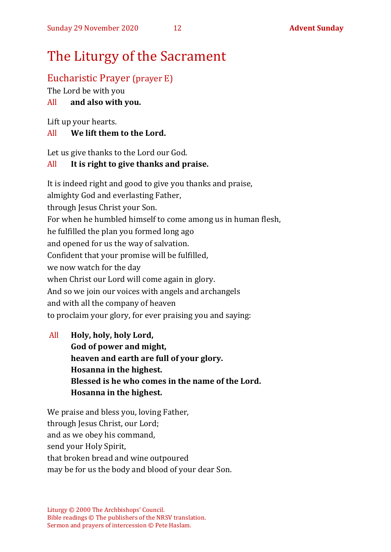# The Liturgy of the Sacrament

# Eucharistic Prayer (prayer E)

The Lord be with you

### All **and also with you.**

Lift up your hearts.

#### All **We lift them to the Lord.**

Let us give thanks to the Lord our God.

#### All **It is right to give thanks and praise.**

It is indeed right and good to give you thanks and praise, almighty God and everlasting Father, through Jesus Christ your Son. For when he humbled himself to come among us in human flesh, he fulfilled the plan you formed long ago and opened for us the way of salvation. Confident that your promise will be fulfilled, we now watch for the day when Christ our Lord will come again in glory. And so we join our voices with angels and archangels and with all the company of heaven to proclaim your glory, for ever praising you and saying:

# All **Holy, holy, holy Lord, God of power and might, heaven and earth are full of your glory. Hosanna in the highest. Blessed is he who comes in the name of the Lord. Hosanna in the highest.**

We praise and bless you, loving Father, through Jesus Christ, our Lord; and as we obey his command, send your Holy Spirit, that broken bread and wine outpoured may be for us the body and blood of your dear Son.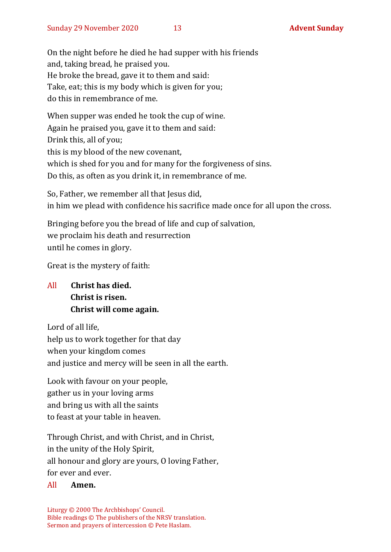On the night before he died he had supper with his friends and, taking bread, he praised you. He broke the bread, gave it to them and said: Take, eat; this is my body which is given for you; do this in remembrance of me.

When supper was ended he took the cup of wine. Again he praised you, gave it to them and said: Drink this, all of you; this is my blood of the new covenant, which is shed for you and for many for the forgiveness of sins. Do this, as often as you drink it, in remembrance of me.

So, Father, we remember all that Jesus did, in him we plead with confidence his sacrifice made once for all upon the cross.

Bringing before you the bread of life and cup of salvation, we proclaim his death and resurrection until he comes in glory.

Great is the mystery of faith:

All **Christ has died. Christ is risen. Christ will come again.**

Lord of all life,

help us to work together for that day when your kingdom comes and justice and mercy will be seen in all the earth.

Look with favour on your people, gather us in your loving arms and bring us with all the saints to feast at your table in heaven.

Through Christ, and with Christ, and in Christ, in the unity of the Holy Spirit, all honour and glory are yours, O loving Father, for ever and ever.

#### All **Amen.**

Liturgy © 2000 The Archbishops' Council. Bible readings © The publishers of the NRSV translation. Sermon and prayers of intercession © Pete Haslam.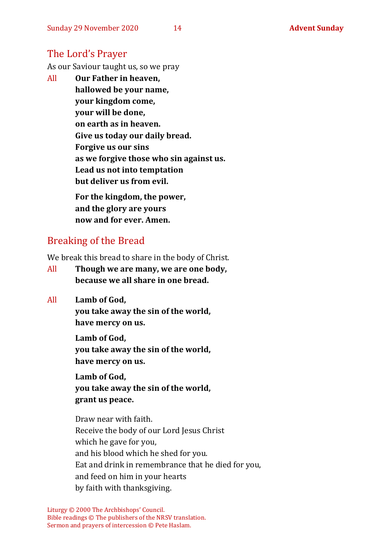# The Lord's Prayer

As our Saviour taught us, so we pray

All **Our Father in heaven, hallowed be your name, your kingdom come, your will be done, on earth as in heaven. Give us today our daily bread. Forgive us our sins as we forgive those who sin against us. Lead us not into temptation but deliver us from evil. For the kingdom, the power,** 

**and the glory are yours now and for ever. Amen.**

# Breaking of the Bread

We break this bread to share in the body of Christ.

All **Though we are many, we are one body, because we all share in one bread.**

All **Lamb of God,**

**you take away the sin of the world, have mercy on us.**

**Lamb of God, you take away the sin of the world, have mercy on us.**

**Lamb of God, you take away the sin of the world, grant us peace.**

Draw near with faith. Receive the body of our Lord Jesus Christ which he gave for you, and his blood which he shed for you. Eat and drink in remembrance that he died for you, and feed on him in your hearts by faith with thanksgiving.